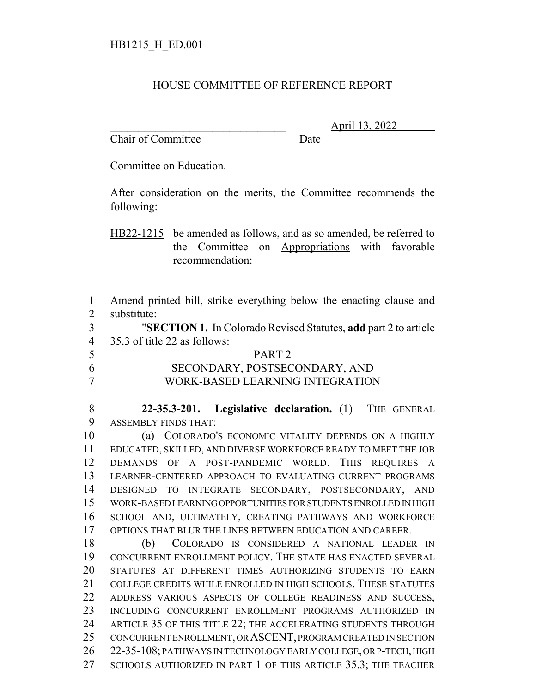## HOUSE COMMITTEE OF REFERENCE REPORT

Chair of Committee Date

\_\_\_\_\_\_\_\_\_\_\_\_\_\_\_\_\_\_\_\_\_\_\_\_\_\_\_\_\_\_\_ April 13, 2022

Committee on Education.

After consideration on the merits, the Committee recommends the following:

HB22-1215 be amended as follows, and as so amended, be referred to the Committee on Appropriations with favorable recommendation:

 Amend printed bill, strike everything below the enacting clause and substitute:

 "**SECTION 1.** In Colorado Revised Statutes, **add** part 2 to article 35.3 of title 22 as follows:

| 5 | PART <sub>2</sub>               |
|---|---------------------------------|
| 6 | SECONDARY, POSTSECONDARY, AND   |
| 7 | WORK-BASED LEARNING INTEGRATION |

 **22-35.3-201. Legislative declaration.** (1) THE GENERAL ASSEMBLY FINDS THAT:

 (a) COLORADO'S ECONOMIC VITALITY DEPENDS ON A HIGHLY EDUCATED, SKILLED, AND DIVERSE WORKFORCE READY TO MEET THE JOB DEMANDS OF A POST-PANDEMIC WORLD. THIS REQUIRES A LEARNER-CENTERED APPROACH TO EVALUATING CURRENT PROGRAMS DESIGNED TO INTEGRATE SECONDARY, POSTSECONDARY, AND WORK-BASED LEARNING OPPORTUNITIES FOR STUDENTS ENROLLED IN HIGH SCHOOL AND, ULTIMATELY, CREATING PATHWAYS AND WORKFORCE OPTIONS THAT BLUR THE LINES BETWEEN EDUCATION AND CAREER.

 (b) COLORADO IS CONSIDERED A NATIONAL LEADER IN CONCURRENT ENROLLMENT POLICY. THE STATE HAS ENACTED SEVERAL STATUTES AT DIFFERENT TIMES AUTHORIZING STUDENTS TO EARN COLLEGE CREDITS WHILE ENROLLED IN HIGH SCHOOLS. THESE STATUTES ADDRESS VARIOUS ASPECTS OF COLLEGE READINESS AND SUCCESS, INCLUDING CONCURRENT ENROLLMENT PROGRAMS AUTHORIZED IN ARTICLE 35 OF THIS TITLE 22; THE ACCELERATING STUDENTS THROUGH 25 CONCURRENT ENROLLMENT, OR ASCENT, PROGRAM CREATED IN SECTION 22-35-108; PATHWAYS IN TECHNOLOGY EARLY COLLEGE, OR P-TECH, HIGH SCHOOLS AUTHORIZED IN PART 1 OF THIS ARTICLE 35.3; THE TEACHER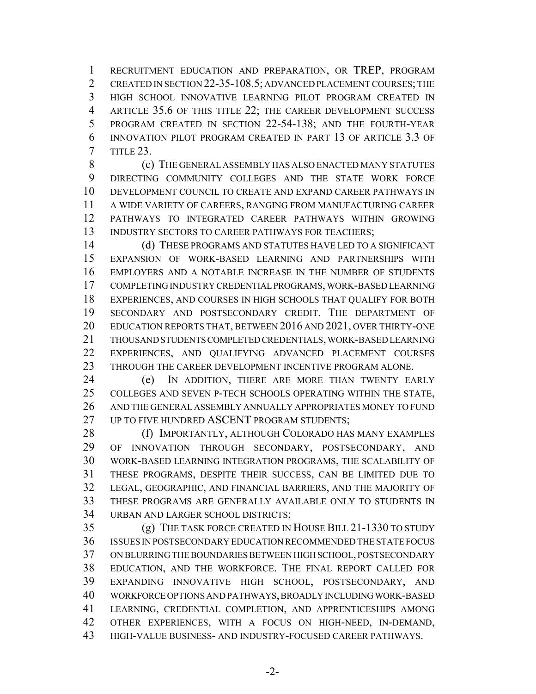RECRUITMENT EDUCATION AND PREPARATION, OR TREP, PROGRAM 2 CREATED IN SECTION 22-35-108.5; ADVANCED PLACEMENT COURSES: THE HIGH SCHOOL INNOVATIVE LEARNING PILOT PROGRAM CREATED IN ARTICLE 35.6 OF THIS TITLE 22; THE CAREER DEVELOPMENT SUCCESS PROGRAM CREATED IN SECTION 22-54-138; AND THE FOURTH-YEAR INNOVATION PILOT PROGRAM CREATED IN PART 13 OF ARTICLE 3.3 OF TITLE 23.

 (c) THE GENERAL ASSEMBLY HAS ALSO ENACTED MANY STATUTES DIRECTING COMMUNITY COLLEGES AND THE STATE WORK FORCE DEVELOPMENT COUNCIL TO CREATE AND EXPAND CAREER PATHWAYS IN A WIDE VARIETY OF CAREERS, RANGING FROM MANUFACTURING CAREER PATHWAYS TO INTEGRATED CAREER PATHWAYS WITHIN GROWING 13 INDUSTRY SECTORS TO CAREER PATHWAYS FOR TEACHERS;

 (d) THESE PROGRAMS AND STATUTES HAVE LED TO A SIGNIFICANT EXPANSION OF WORK-BASED LEARNING AND PARTNERSHIPS WITH EMPLOYERS AND A NOTABLE INCREASE IN THE NUMBER OF STUDENTS COMPLETING INDUSTRY CREDENTIAL PROGRAMS, WORK-BASED LEARNING EXPERIENCES, AND COURSES IN HIGH SCHOOLS THAT QUALIFY FOR BOTH SECONDARY AND POSTSECONDARY CREDIT. THE DEPARTMENT OF EDUCATION REPORTS THAT, BETWEEN 2016 AND 2021, OVER THIRTY-ONE THOUSAND STUDENTS COMPLETED CREDENTIALS, WORK-BASED LEARNING EXPERIENCES, AND QUALIFYING ADVANCED PLACEMENT COURSES THROUGH THE CAREER DEVELOPMENT INCENTIVE PROGRAM ALONE.

 (e) IN ADDITION, THERE ARE MORE THAN TWENTY EARLY COLLEGES AND SEVEN P-TECH SCHOOLS OPERATING WITHIN THE STATE, AND THE GENERAL ASSEMBLY ANNUALLY APPROPRIATES MONEY TO FUND 27 UP TO FIVE HUNDRED ASCENT PROGRAM STUDENTS:

**(f) IMPORTANTLY, ALTHOUGH COLORADO HAS MANY EXAMPLES**  OF INNOVATION THROUGH SECONDARY, POSTSECONDARY, AND WORK-BASED LEARNING INTEGRATION PROGRAMS, THE SCALABILITY OF THESE PROGRAMS, DESPITE THEIR SUCCESS, CAN BE LIMITED DUE TO LEGAL, GEOGRAPHIC, AND FINANCIAL BARRIERS, AND THE MAJORITY OF THESE PROGRAMS ARE GENERALLY AVAILABLE ONLY TO STUDENTS IN URBAN AND LARGER SCHOOL DISTRICTS;

 (g) THE TASK FORCE CREATED IN HOUSE BILL 21-1330 TO STUDY ISSUES IN POSTSECONDARY EDUCATION RECOMMENDED THE STATE FOCUS ON BLURRING THE BOUNDARIES BETWEEN HIGH SCHOOL, POSTSECONDARY EDUCATION, AND THE WORKFORCE. THE FINAL REPORT CALLED FOR EXPANDING INNOVATIVE HIGH SCHOOL, POSTSECONDARY, AND WORKFORCE OPTIONS AND PATHWAYS, BROADLY INCLUDING WORK-BASED LEARNING, CREDENTIAL COMPLETION, AND APPRENTICESHIPS AMONG OTHER EXPERIENCES, WITH A FOCUS ON HIGH-NEED, IN-DEMAND, HIGH-VALUE BUSINESS- AND INDUSTRY-FOCUSED CAREER PATHWAYS.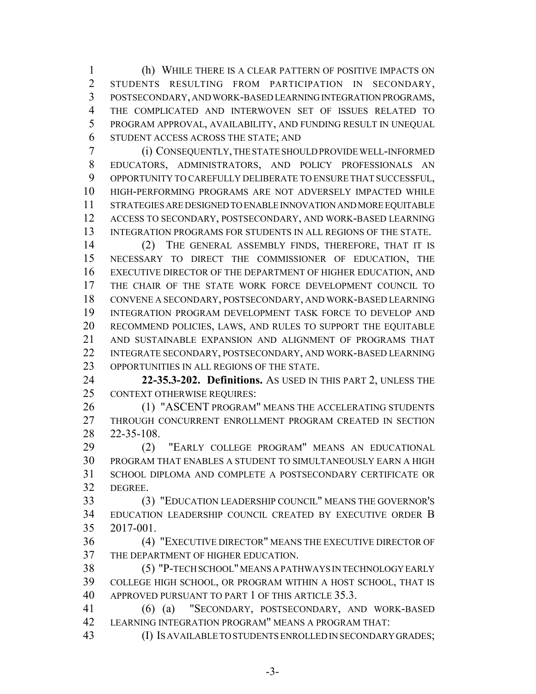(h) WHILE THERE IS A CLEAR PATTERN OF POSITIVE IMPACTS ON STUDENTS RESULTING FROM PARTICIPATION IN SECONDARY, POSTSECONDARY, AND WORK-BASED LEARNING INTEGRATION PROGRAMS, THE COMPLICATED AND INTERWOVEN SET OF ISSUES RELATED TO PROGRAM APPROVAL, AVAILABILITY, AND FUNDING RESULT IN UNEQUAL STUDENT ACCESS ACROSS THE STATE; AND

 (i) CONSEQUENTLY, THE STATE SHOULD PROVIDE WELL-INFORMED EDUCATORS, ADMINISTRATORS, AND POLICY PROFESSIONALS AN OPPORTUNITY TO CAREFULLY DELIBERATE TO ENSURE THAT SUCCESSFUL, HIGH-PERFORMING PROGRAMS ARE NOT ADVERSELY IMPACTED WHILE STRATEGIES ARE DESIGNED TO ENABLE INNOVATION AND MORE EQUITABLE ACCESS TO SECONDARY, POSTSECONDARY, AND WORK-BASED LEARNING 13 INTEGRATION PROGRAMS FOR STUDENTS IN ALL REGIONS OF THE STATE.

 (2) THE GENERAL ASSEMBLY FINDS, THEREFORE, THAT IT IS NECESSARY TO DIRECT THE COMMISSIONER OF EDUCATION, THE EXECUTIVE DIRECTOR OF THE DEPARTMENT OF HIGHER EDUCATION, AND THE CHAIR OF THE STATE WORK FORCE DEVELOPMENT COUNCIL TO CONVENE A SECONDARY, POSTSECONDARY, AND WORK-BASED LEARNING INTEGRATION PROGRAM DEVELOPMENT TASK FORCE TO DEVELOP AND RECOMMEND POLICIES, LAWS, AND RULES TO SUPPORT THE EQUITABLE AND SUSTAINABLE EXPANSION AND ALIGNMENT OF PROGRAMS THAT INTEGRATE SECONDARY, POSTSECONDARY, AND WORK-BASED LEARNING OPPORTUNITIES IN ALL REGIONS OF THE STATE.

 **22-35.3-202. Definitions.** AS USED IN THIS PART 2, UNLESS THE CONTEXT OTHERWISE REQUIRES:

 (1) "ASCENT PROGRAM" MEANS THE ACCELERATING STUDENTS THROUGH CONCURRENT ENROLLMENT PROGRAM CREATED IN SECTION 22-35-108.

 (2) "EARLY COLLEGE PROGRAM" MEANS AN EDUCATIONAL PROGRAM THAT ENABLES A STUDENT TO SIMULTANEOUSLY EARN A HIGH SCHOOL DIPLOMA AND COMPLETE A POSTSECONDARY CERTIFICATE OR DEGREE.

 (3) "EDUCATION LEADERSHIP COUNCIL" MEANS THE GOVERNOR'S EDUCATION LEADERSHIP COUNCIL CREATED BY EXECUTIVE ORDER B 2017-001.

 (4) "EXECUTIVE DIRECTOR" MEANS THE EXECUTIVE DIRECTOR OF THE DEPARTMENT OF HIGHER EDUCATION.

 (5) "P-TECH SCHOOL" MEANS A PATHWAYS IN TECHNOLOGY EARLY COLLEGE HIGH SCHOOL, OR PROGRAM WITHIN A HOST SCHOOL, THAT IS APPROVED PURSUANT TO PART 1 OF THIS ARTICLE 35.3.

 (6) (a) "SECONDARY, POSTSECONDARY, AND WORK-BASED LEARNING INTEGRATION PROGRAM" MEANS A PROGRAM THAT:

(I) IS AVAILABLE TO STUDENTS ENROLLED IN SECONDARY GRADES;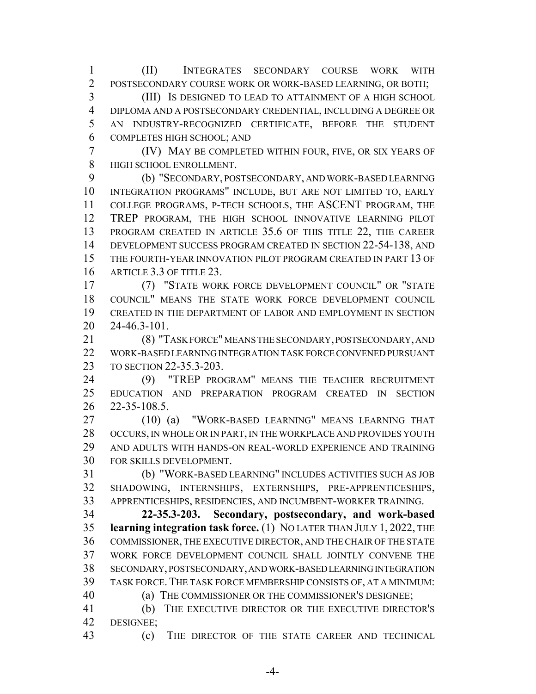(II) INTEGRATES SECONDARY COURSE WORK WITH POSTSECONDARY COURSE WORK OR WORK-BASED LEARNING, OR BOTH; (III) IS DESIGNED TO LEAD TO ATTAINMENT OF A HIGH SCHOOL

 DIPLOMA AND A POSTSECONDARY CREDENTIAL, INCLUDING A DEGREE OR AN INDUSTRY-RECOGNIZED CERTIFICATE, BEFORE THE STUDENT COMPLETES HIGH SCHOOL; AND

 (IV) MAY BE COMPLETED WITHIN FOUR, FIVE, OR SIX YEARS OF HIGH SCHOOL ENROLLMENT.

 (b) "SECONDARY, POSTSECONDARY, AND WORK-BASED LEARNING INTEGRATION PROGRAMS" INCLUDE, BUT ARE NOT LIMITED TO, EARLY COLLEGE PROGRAMS, P-TECH SCHOOLS, THE ASCENT PROGRAM, THE TREP PROGRAM, THE HIGH SCHOOL INNOVATIVE LEARNING PILOT PROGRAM CREATED IN ARTICLE 35.6 OF THIS TITLE 22, THE CAREER DEVELOPMENT SUCCESS PROGRAM CREATED IN SECTION 22-54-138, AND THE FOURTH-YEAR INNOVATION PILOT PROGRAM CREATED IN PART 13 OF ARTICLE 3.3 OF TITLE 23.

 (7) "STATE WORK FORCE DEVELOPMENT COUNCIL" OR "STATE COUNCIL" MEANS THE STATE WORK FORCE DEVELOPMENT COUNCIL CREATED IN THE DEPARTMENT OF LABOR AND EMPLOYMENT IN SECTION 24-46.3-101.

 (8) "TASK FORCE" MEANS THE SECONDARY, POSTSECONDARY, AND WORK-BASED LEARNING INTEGRATION TASK FORCE CONVENED PURSUANT TO SECTION 22-35.3-203.

 (9) "TREP PROGRAM" MEANS THE TEACHER RECRUITMENT EDUCATION AND PREPARATION PROGRAM CREATED IN SECTION 22-35-108.5.

 (10) (a) "WORK-BASED LEARNING" MEANS LEARNING THAT OCCURS, IN WHOLE OR IN PART, IN THE WORKPLACE AND PROVIDES YOUTH AND ADULTS WITH HANDS-ON REAL-WORLD EXPERIENCE AND TRAINING FOR SKILLS DEVELOPMENT.

 (b) "WORK-BASED LEARNING" INCLUDES ACTIVITIES SUCH AS JOB SHADOWING, INTERNSHIPS, EXTERNSHIPS, PRE-APPRENTICESHIPS, APPRENTICESHIPS, RESIDENCIES, AND INCUMBENT-WORKER TRAINING.

 **22-35.3-203. Secondary, postsecondary, and work-based learning integration task force.** (1) NO LATER THAN JULY 1, 2022, THE COMMISSIONER, THE EXECUTIVE DIRECTOR, AND THE CHAIR OF THE STATE WORK FORCE DEVELOPMENT COUNCIL SHALL JOINTLY CONVENE THE SECONDARY, POSTSECONDARY, AND WORK-BASED LEARNING INTEGRATION TASK FORCE.THE TASK FORCE MEMBERSHIP CONSISTS OF, AT A MINIMUM:

(a) THE COMMISSIONER OR THE COMMISSIONER'S DESIGNEE;

 (b) THE EXECUTIVE DIRECTOR OR THE EXECUTIVE DIRECTOR'S DESIGNEE;

(c) THE DIRECTOR OF THE STATE CAREER AND TECHNICAL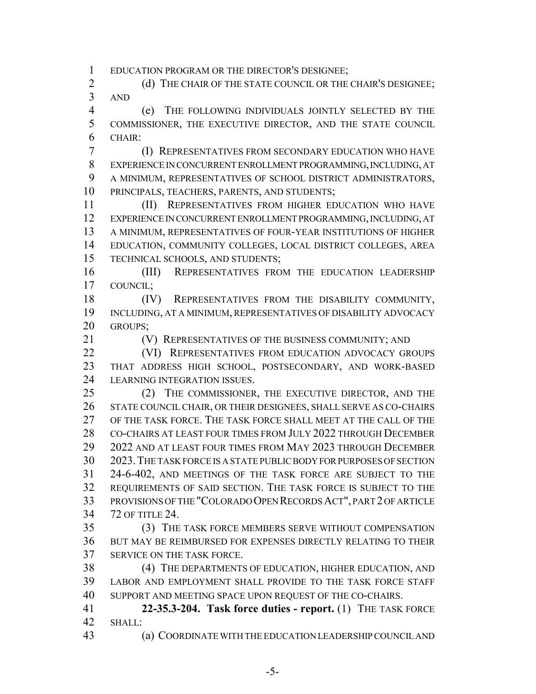EDUCATION PROGRAM OR THE DIRECTOR'S DESIGNEE;

2 (d) THE CHAIR OF THE STATE COUNCIL OR THE CHAIR'S DESIGNEE; AND

 (e) THE FOLLOWING INDIVIDUALS JOINTLY SELECTED BY THE COMMISSIONER, THE EXECUTIVE DIRECTOR, AND THE STATE COUNCIL CHAIR:

 (I) REPRESENTATIVES FROM SECONDARY EDUCATION WHO HAVE EXPERIENCE IN CONCURRENT ENROLLMENT PROGRAMMING, INCLUDING, AT A MINIMUM, REPRESENTATIVES OF SCHOOL DISTRICT ADMINISTRATORS, PRINCIPALS, TEACHERS, PARENTS, AND STUDENTS;

 (II) REPRESENTATIVES FROM HIGHER EDUCATION WHO HAVE EXPERIENCE IN CONCURRENT ENROLLMENT PROGRAMMING, INCLUDING, AT A MINIMUM, REPRESENTATIVES OF FOUR-YEAR INSTITUTIONS OF HIGHER EDUCATION, COMMUNITY COLLEGES, LOCAL DISTRICT COLLEGES, AREA TECHNICAL SCHOOLS, AND STUDENTS;

 (III) REPRESENTATIVES FROM THE EDUCATION LEADERSHIP COUNCIL;

 (IV) REPRESENTATIVES FROM THE DISABILITY COMMUNITY, INCLUDING, AT A MINIMUM, REPRESENTATIVES OF DISABILITY ADVOCACY GROUPS;

(V) REPRESENTATIVES OF THE BUSINESS COMMUNITY; AND

**(VI) REPRESENTATIVES FROM EDUCATION ADVOCACY GROUPS**  THAT ADDRESS HIGH SCHOOL, POSTSECONDARY, AND WORK-BASED LEARNING INTEGRATION ISSUES.

 (2) THE COMMISSIONER, THE EXECUTIVE DIRECTOR, AND THE STATE COUNCIL CHAIR, OR THEIR DESIGNEES, SHALL SERVE AS CO-CHAIRS OF THE TASK FORCE. THE TASK FORCE SHALL MEET AT THE CALL OF THE 28 CO-CHAIRS AT LEAST FOUR TIMES FROM JULY 2022 THROUGH DECEMBER 2022 AND AT LEAST FOUR TIMES FROM MAY 2023 THROUGH DECEMBER 2023.THE TASK FORCE IS A STATE PUBLIC BODY FOR PURPOSES OF SECTION 24-6-402, AND MEETINGS OF THE TASK FORCE ARE SUBJECT TO THE REQUIREMENTS OF SAID SECTION. THE TASK FORCE IS SUBJECT TO THE PROVISIONS OF THE "COLORADO OPEN RECORDS ACT", PART 2 OF ARTICLE 72 OF TITLE 24.

 (3) THE TASK FORCE MEMBERS SERVE WITHOUT COMPENSATION BUT MAY BE REIMBURSED FOR EXPENSES DIRECTLY RELATING TO THEIR SERVICE ON THE TASK FORCE.

 (4) THE DEPARTMENTS OF EDUCATION, HIGHER EDUCATION, AND LABOR AND EMPLOYMENT SHALL PROVIDE TO THE TASK FORCE STAFF SUPPORT AND MEETING SPACE UPON REQUEST OF THE CO-CHAIRS.

 **22-35.3-204. Task force duties - report.** (1) THE TASK FORCE SHALL:

(a) COORDINATE WITH THE EDUCATION LEADERSHIP COUNCIL AND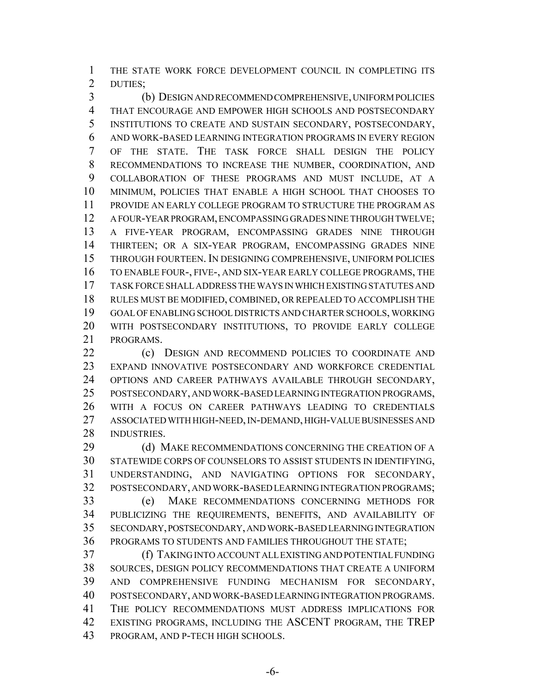THE STATE WORK FORCE DEVELOPMENT COUNCIL IN COMPLETING ITS DUTIES;

 (b) DESIGN AND RECOMMEND COMPREHENSIVE, UNIFORM POLICIES THAT ENCOURAGE AND EMPOWER HIGH SCHOOLS AND POSTSECONDARY INSTITUTIONS TO CREATE AND SUSTAIN SECONDARY, POSTSECONDARY, AND WORK-BASED LEARNING INTEGRATION PROGRAMS IN EVERY REGION OF THE STATE. THE TASK FORCE SHALL DESIGN THE POLICY RECOMMENDATIONS TO INCREASE THE NUMBER, COORDINATION, AND COLLABORATION OF THESE PROGRAMS AND MUST INCLUDE, AT A MINIMUM, POLICIES THAT ENABLE A HIGH SCHOOL THAT CHOOSES TO PROVIDE AN EARLY COLLEGE PROGRAM TO STRUCTURE THE PROGRAM AS A FOUR-YEAR PROGRAM, ENCOMPASSING GRADES NINE THROUGH TWELVE; A FIVE-YEAR PROGRAM, ENCOMPASSING GRADES NINE THROUGH THIRTEEN; OR A SIX-YEAR PROGRAM, ENCOMPASSING GRADES NINE THROUGH FOURTEEN. IN DESIGNING COMPREHENSIVE, UNIFORM POLICIES TO ENABLE FOUR-, FIVE-, AND SIX-YEAR EARLY COLLEGE PROGRAMS, THE TASK FORCE SHALL ADDRESS THE WAYS IN WHICH EXISTING STATUTES AND RULES MUST BE MODIFIED, COMBINED, OR REPEALED TO ACCOMPLISH THE GOAL OF ENABLING SCHOOL DISTRICTS AND CHARTER SCHOOLS, WORKING WITH POSTSECONDARY INSTITUTIONS, TO PROVIDE EARLY COLLEGE PROGRAMS.

22 (c) DESIGN AND RECOMMEND POLICIES TO COORDINATE AND EXPAND INNOVATIVE POSTSECONDARY AND WORKFORCE CREDENTIAL OPTIONS AND CAREER PATHWAYS AVAILABLE THROUGH SECONDARY, POSTSECONDARY, AND WORK-BASED LEARNING INTEGRATION PROGRAMS, WITH A FOCUS ON CAREER PATHWAYS LEADING TO CREDENTIALS ASSOCIATED WITH HIGH-NEED, IN-DEMAND, HIGH-VALUE BUSINESSES AND INDUSTRIES.

29 (d) MAKE RECOMMENDATIONS CONCERNING THE CREATION OF A STATEWIDE CORPS OF COUNSELORS TO ASSIST STUDENTS IN IDENTIFYING, UNDERSTANDING, AND NAVIGATING OPTIONS FOR SECONDARY, POSTSECONDARY, AND WORK-BASED LEARNING INTEGRATION PROGRAMS; (e) MAKE RECOMMENDATIONS CONCERNING METHODS FOR PUBLICIZING THE REQUIREMENTS, BENEFITS, AND AVAILABILITY OF SECONDARY, POSTSECONDARY, AND WORK-BASED LEARNING INTEGRATION PROGRAMS TO STUDENTS AND FAMILIES THROUGHOUT THE STATE;

 (f) TAKING INTO ACCOUNT ALL EXISTING AND POTENTIAL FUNDING SOURCES, DESIGN POLICY RECOMMENDATIONS THAT CREATE A UNIFORM AND COMPREHENSIVE FUNDING MECHANISM FOR SECONDARY, POSTSECONDARY, AND WORK-BASED LEARNING INTEGRATION PROGRAMS. THE POLICY RECOMMENDATIONS MUST ADDRESS IMPLICATIONS FOR EXISTING PROGRAMS, INCLUDING THE ASCENT PROGRAM, THE TREP PROGRAM, AND P-TECH HIGH SCHOOLS.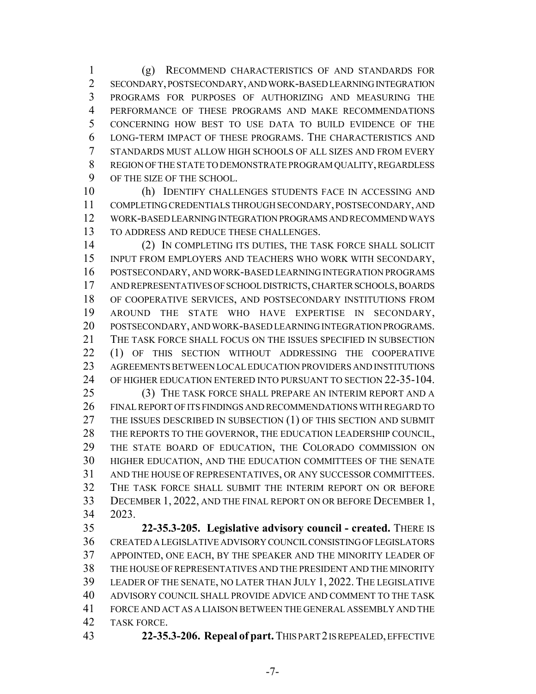(g) RECOMMEND CHARACTERISTICS OF AND STANDARDS FOR SECONDARY, POSTSECONDARY, AND WORK-BASED LEARNING INTEGRATION PROGRAMS FOR PURPOSES OF AUTHORIZING AND MEASURING THE PERFORMANCE OF THESE PROGRAMS AND MAKE RECOMMENDATIONS CONCERNING HOW BEST TO USE DATA TO BUILD EVIDENCE OF THE LONG-TERM IMPACT OF THESE PROGRAMS. THE CHARACTERISTICS AND STANDARDS MUST ALLOW HIGH SCHOOLS OF ALL SIZES AND FROM EVERY REGION OF THE STATE TO DEMONSTRATE PROGRAM QUALITY, REGARDLESS OF THE SIZE OF THE SCHOOL.

 (h) IDENTIFY CHALLENGES STUDENTS FACE IN ACCESSING AND COMPLETING CREDENTIALS THROUGH SECONDARY, POSTSECONDARY, AND WORK-BASED LEARNING INTEGRATION PROGRAMS AND RECOMMEND WAYS TO ADDRESS AND REDUCE THESE CHALLENGES.

 (2) IN COMPLETING ITS DUTIES, THE TASK FORCE SHALL SOLICIT INPUT FROM EMPLOYERS AND TEACHERS WHO WORK WITH SECONDARY, POSTSECONDARY, AND WORK-BASED LEARNING INTEGRATION PROGRAMS AND REPRESENTATIVES OF SCHOOL DISTRICTS, CHARTER SCHOOLS, BOARDS OF COOPERATIVE SERVICES, AND POSTSECONDARY INSTITUTIONS FROM AROUND THE STATE WHO HAVE EXPERTISE IN SECONDARY, POSTSECONDARY, AND WORK-BASED LEARNING INTEGRATION PROGRAMS. THE TASK FORCE SHALL FOCUS ON THE ISSUES SPECIFIED IN SUBSECTION 22 (1) OF THIS SECTION WITHOUT ADDRESSING THE COOPERATIVE AGREEMENTS BETWEEN LOCAL EDUCATION PROVIDERS AND INSTITUTIONS OF HIGHER EDUCATION ENTERED INTO PURSUANT TO SECTION 22-35-104.

 (3) THE TASK FORCE SHALL PREPARE AN INTERIM REPORT AND A FINAL REPORT OF ITS FINDINGS AND RECOMMENDATIONS WITH REGARD TO 27 THE ISSUES DESCRIBED IN SUBSECTION (1) OF THIS SECTION AND SUBMIT THE REPORTS TO THE GOVERNOR, THE EDUCATION LEADERSHIP COUNCIL, THE STATE BOARD OF EDUCATION, THE COLORADO COMMISSION ON HIGHER EDUCATION, AND THE EDUCATION COMMITTEES OF THE SENATE AND THE HOUSE OF REPRESENTATIVES, OR ANY SUCCESSOR COMMITTEES. THE TASK FORCE SHALL SUBMIT THE INTERIM REPORT ON OR BEFORE DECEMBER 1, 2022, AND THE FINAL REPORT ON OR BEFORE DECEMBER 1, 2023.

 **22-35.3-205. Legislative advisory council - created.** THERE IS CREATED A LEGISLATIVE ADVISORY COUNCIL CONSISTING OF LEGISLATORS APPOINTED, ONE EACH, BY THE SPEAKER AND THE MINORITY LEADER OF THE HOUSE OF REPRESENTATIVES AND THE PRESIDENT AND THE MINORITY LEADER OF THE SENATE, NO LATER THAN JULY 1, 2022. THE LEGISLATIVE ADVISORY COUNCIL SHALL PROVIDE ADVICE AND COMMENT TO THE TASK FORCE AND ACT AS A LIAISON BETWEEN THE GENERAL ASSEMBLY AND THE TASK FORCE.

**22-35.3-206. Repeal of part.** THIS PART 2 IS REPEALED, EFFECTIVE